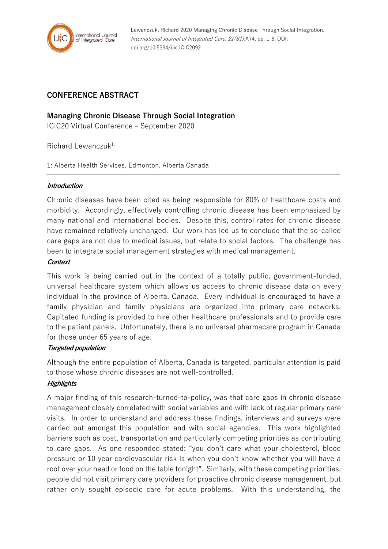

Lewanczuk, Richard 2020 Managing Chronic Disease Through Social Integration. International Journal of Integrated Care, 21(S1):A74, pp. 1-8, DOI: doi.org/10.5334/ijic.ICIC2092

# **CONFERENCE ABSTRACT**

## **Managing Chronic Disease Through Social Integration**

ICIC20 Virtual Conference – September 2020

Richard Lewanczuk<sup>1,</sup>

1: Alberta Health Services, Edmonton, Alberta Canada

#### **Introduction**

Chronic diseases have been cited as being responsible for 80% of healthcare costs and morbidity. Accordingly, effectively controlling chronic disease has been emphasized by many national and international bodies. Despite this, control rates for chronic disease have remained relatively unchanged. Our work has led us to conclude that the so-called care gaps are not due to medical issues, but relate to social factors. The challenge has been to integrate social management strategies with medical management.

#### **Context**

This work is being carried out in the context of a totally public, government-funded, universal healthcare system which allows us access to chronic disease data on every individual in the province of Alberta, Canada. Every individual is encouraged to have a family physician and family physicians are organized into primary care networks. Capitated funding is provided to hire other healthcare professionals and to provide care to the patient panels. Unfortunately, there is no universal pharmacare program in Canada for those under 65 years of age.

### **Targeted population**

Although the entire population of Alberta, Canada is targeted, particular attention is paid to those whose chronic diseases are not well-controlled.

### **Highlights**

A major finding of this research-turned-to-policy, was that care gaps in chronic disease management closely correlated with social variables and with lack of regular primary care visits. In order to understand and address these findings, interviews and surveys were carried out amongst this population and with social agencies. This work highlighted barriers such as cost, transportation and particularly competing priorities as contributing to care gaps. As one responded stated: "you don't care what your cholesterol, blood pressure or 10 year cardiovascular risk is when you don't know whether you will have a roof over your head or food on the table tonight". Similarly, with these competing priorities, people did not visit primary care providers for proactive chronic disease management, but rather only sought episodic care for acute problems. With this understanding, the